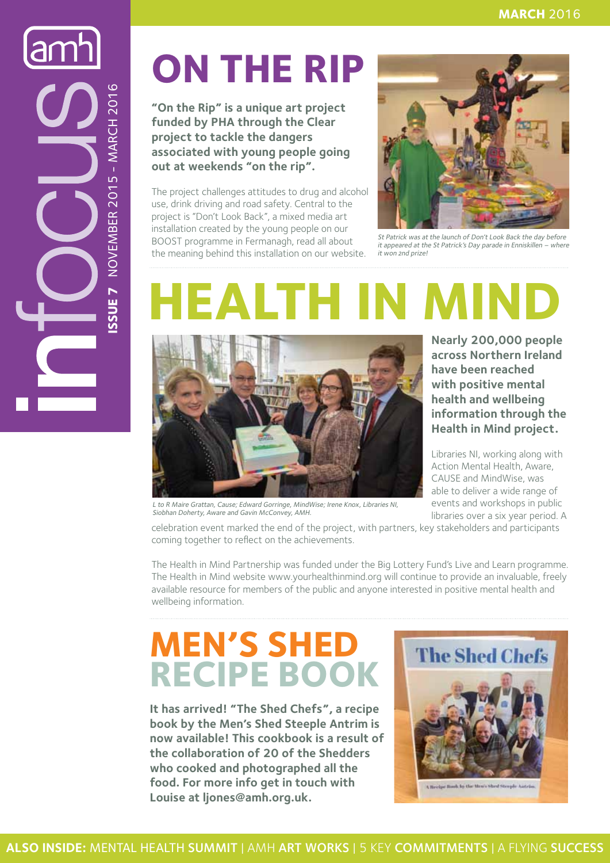NOVEMBER 2015 - MARCH 2016 **Issue 7** NOVEMBER 2015 - MARCH 2016 SSUE<sub>7</sub>

### **On the Rip**

**"On the Rip" is a unique art project funded by PHA through the Clear project to tackle the dangers associated with young people going out at weekends "on the rip".** 

The project challenges attitudes to drug and alcohol use, drink driving and road safety. Central to the project is "Don't Look Back", a mixed media art installation created by the young people on our BOOST programme in Fermanagh, read all about the meaning behind this installation on our website.



St Patrick was at the launch of Don't Look Back the day before it appeared at the St Patrick's Day parade in Enniskillen – where it won 2nd prize!

## **HEALTH IN MIN**



L to R Maire Grattan, Cause; Edward Gorringe, MindWise; Irene Knox, Libraries NI, Siobhan Doherty, Aware and Gavin McConvey, AMH.

**Nearly 200,000 people across Northern Ireland have been reached with positive mental health and wellbeing information through the Health in Mind project.** 

Libraries NI, working along with Action Mental Health, Aware, CAUSE and MindWise, was able to deliver a wide range of events and workshops in public libraries over a six year period. A

celebration event marked the end of the project, with partners, key stakeholders and participants coming together to reflect on the achievements.

The Health in Mind Partnership was funded under the Big Lottery Fund's Live and Learn programme. The Health in Mind website www.yourhealthinmind.org will continue to provide an invaluable, freely available resource for members of the public and anyone interested in positive mental health and wellbeing information.

### **Men's Shed Recipe book**

**It has arrived! "The Shed Chefs", a recipe book by the Men's Shed Steeple Antrim is now available! This cookbook is a result of the collaboration of 20 of the Shedders who cooked and photographed all the food. For more info get in touch with Louise at ljones@amh.org.uk.**

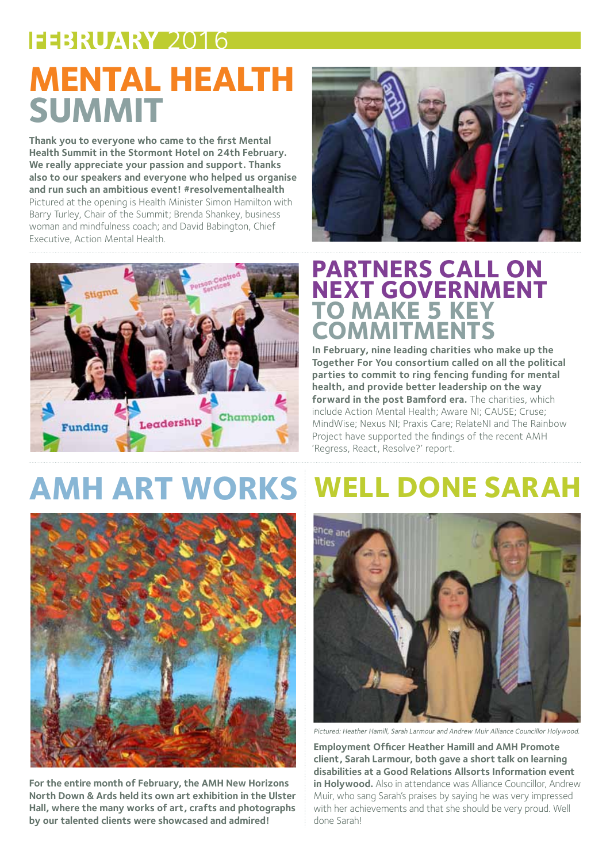### **FEBRUARY** 2016 **Mental Health Summit**

**Thank you to everyone who came to the first Mental Health Summit in the Stormont Hotel on 24th February. We really appreciate your passion and support. Thanks also to our speakers and everyone who helped us organise and run such an ambitious event! #resolvementalhealth**  Pictured at the opening is Health Minister Simon Hamilton with Barry Turley, Chair of the Summit; Brenda Shankey, business woman and mindfulness coach; and David Babington, Chief Executive, Action Mental Health.



### **Partners call on NEXT GOVERNMENT to MAKE 5 KE commitments**

**In February, nine leading charities who make up the Together For You consortium called on all the political parties to commit to ring fencing funding for mental health, and provide better leadership on the way forward in the post Bamford era.** The charities, which include Action Mental Health; Aware NI; CAUSE; Cruse; MindWise; Nexus NI; Praxis Care; RelateNI and The Rainbow Project have supported the findings of the recent AMH 'Regress, React, Resolve?' report.

### **AMH Art Works Well done Sarah**



**For the entire month of February, the AMH New Horizons North Down & Ards held its own art exhibition in the Ulster Hall, where the many works of art, crafts and photographs by our talented clients were showcased and admired!**



Pictured: Heather Hamill, Sarah Larmour and Andrew Muir Alliance Councillor Holywood.

**Employment Officer Heather Hamill and AMH Promote client, Sarah Larmour, both gave a short talk on learning disabilities at a Good Relations Allsorts Information event in Holywood.** Also in attendance was Alliance Councillor, Andrew Muir, who sang Sarah's praises by saying he was very impressed with her achievements and that she should be very proud. Well done Sarah!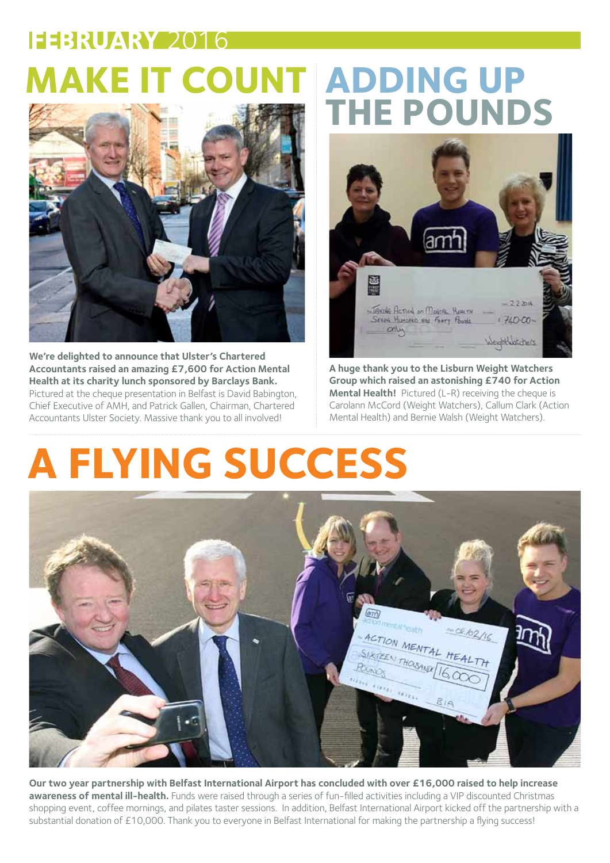### **Make it Count Adding up FEBRUARY** 2016



**We're delighted to announce that Ulster's Chartered Accountants raised an amazing £7,600 for Action Mental Health at its charity lunch sponsored by Barclays Bank.**  Pictured at the cheque presentation in Belfast is David Babington, Chief Executive of AMH, and Patrick Gallen, Chairman, Chartered Accountants Ulster Society. Massive thank you to all involved!

# **the Pounds**



**A huge thank you to the Lisburn Weight Watchers Group which raised an astonishing £740 for Action Mental Health!** Pictured (L-R) receiving the cheque is Carolann McCord (Weight Watchers), Callum Clark (Action Mental Health) and Bernie Walsh (Weight Watchers).

### **A Flying Success**



**Our two year partnership with Belfast International Airport has concluded with over £16,000 raised to help increase awareness of mental ill-health.** Funds were raised through a series of fun-filled activities including a VIP discounted Christmas shopping event, coffee mornings, and pilates taster sessions. In addition, Belfast International Airport kicked off the partnership with a substantial donation of £10,000. Thank you to everyone in Belfast International for making the partnership a flying success!